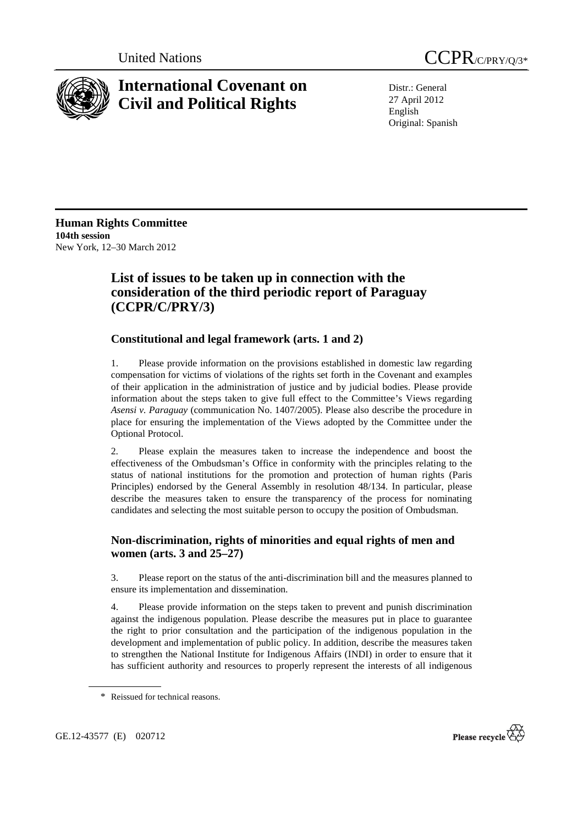



# **International Covenant on Civil and Political Rights**

Distr.: General 27 April 2012 English Original: Spanish

**Human Rights Committee 104th session**  New York, 12–30 March 2012

# **List of issues to be taken up in connection with the consideration of the third periodic report of Paraguay (CCPR/C/PRY/3)**

## **Constitutional and legal framework (arts. 1 and 2)**

1. Please provide information on the provisions established in domestic law regarding compensation for victims of violations of the rights set forth in the Covenant and examples of their application in the administration of justice and by judicial bodies. Please provide information about the steps taken to give full effect to the Committee's Views regarding *Asensi v. Paraguay* (communication No. 1407/2005). Please also describe the procedure in place for ensuring the implementation of the Views adopted by the Committee under the Optional Protocol.

2. Please explain the measures taken to increase the independence and boost the effectiveness of the Ombudsman's Office in conformity with the principles relating to the status of national institutions for the promotion and protection of human rights (Paris Principles) endorsed by the General Assembly in resolution 48/134. In particular, please describe the measures taken to ensure the transparency of the process for nominating candidates and selecting the most suitable person to occupy the position of Ombudsman.

#### **Non-discrimination, rights of minorities and equal rights of men and women (arts. 3 and 25–27)**

3. Please report on the status of the anti-discrimination bill and the measures planned to ensure its implementation and dissemination.

4. Please provide information on the steps taken to prevent and punish discrimination against the indigenous population. Please describe the measures put in place to guarantee the right to prior consultation and the participation of the indigenous population in the development and implementation of public policy. In addition, describe the measures taken to strengthen the National Institute for Indigenous Affairs (INDI) in order to ensure that it has sufficient authority and resources to properly represent the interests of all indigenous



<sup>\*</sup> Reissued for technical reasons.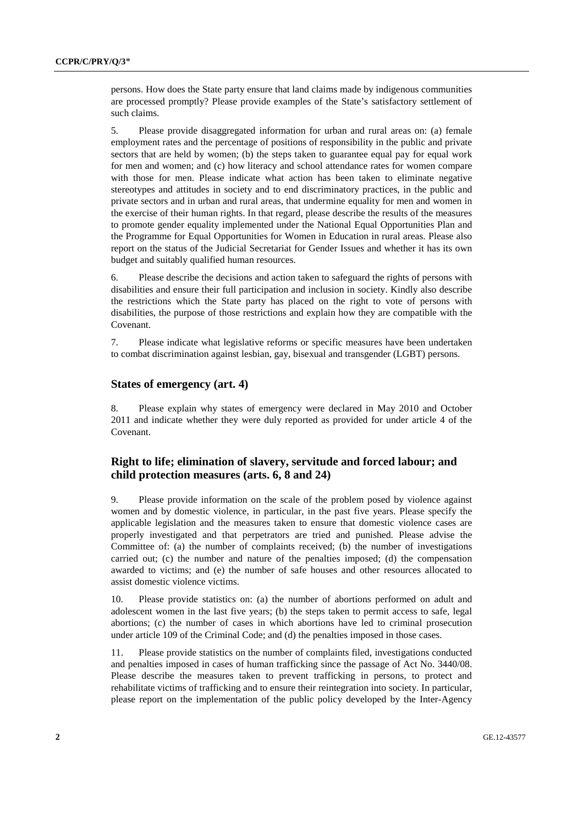persons. How does the State party ensure that land claims made by indigenous communities are processed promptly? Please provide examples of the State's satisfactory settlement of such claims.

5. Please provide disaggregated information for urban and rural areas on: (a) female employment rates and the percentage of positions of responsibility in the public and private sectors that are held by women; (b) the steps taken to guarantee equal pay for equal work for men and women; and (c) how literacy and school attendance rates for women compare with those for men. Please indicate what action has been taken to eliminate negative stereotypes and attitudes in society and to end discriminatory practices, in the public and private sectors and in urban and rural areas, that undermine equality for men and women in the exercise of their human rights. In that regard, please describe the results of the measures to promote gender equality implemented under the National Equal Opportunities Plan and the Programme for Equal Opportunities for Women in Education in rural areas. Please also report on the status of the Judicial Secretariat for Gender Issues and whether it has its own budget and suitably qualified human resources.

6. Please describe the decisions and action taken to safeguard the rights of persons with disabilities and ensure their full participation and inclusion in society. Kindly also describe the restrictions which the State party has placed on the right to vote of persons with disabilities, the purpose of those restrictions and explain how they are compatible with the Covenant.

7. Please indicate what legislative reforms or specific measures have been undertaken to combat discrimination against lesbian, gay, bisexual and transgender (LGBT) persons.

#### **States of emergency (art. 4)**

8. Please explain why states of emergency were declared in May 2010 and October 2011 and indicate whether they were duly reported as provided for under article 4 of the Covenant.

#### **Right to life; elimination of slavery, servitude and forced labour; and child protection measures (arts. 6, 8 and 24)**

9. Please provide information on the scale of the problem posed by violence against women and by domestic violence, in particular, in the past five years. Please specify the applicable legislation and the measures taken to ensure that domestic violence cases are properly investigated and that perpetrators are tried and punished. Please advise the Committee of: (a) the number of complaints received; (b) the number of investigations carried out; (c) the number and nature of the penalties imposed; (d) the compensation awarded to victims; and (e) the number of safe houses and other resources allocated to assist domestic violence victims.

10. Please provide statistics on: (a) the number of abortions performed on adult and adolescent women in the last five years; (b) the steps taken to permit access to safe, legal abortions; (c) the number of cases in which abortions have led to criminal prosecution under article 109 of the Criminal Code; and (d) the penalties imposed in those cases.

11. Please provide statistics on the number of complaints filed, investigations conducted and penalties imposed in cases of human trafficking since the passage of Act No. 3440/08. Please describe the measures taken to prevent trafficking in persons, to protect and rehabilitate victims of trafficking and to ensure their reintegration into society. In particular, please report on the implementation of the public policy developed by the Inter-Agency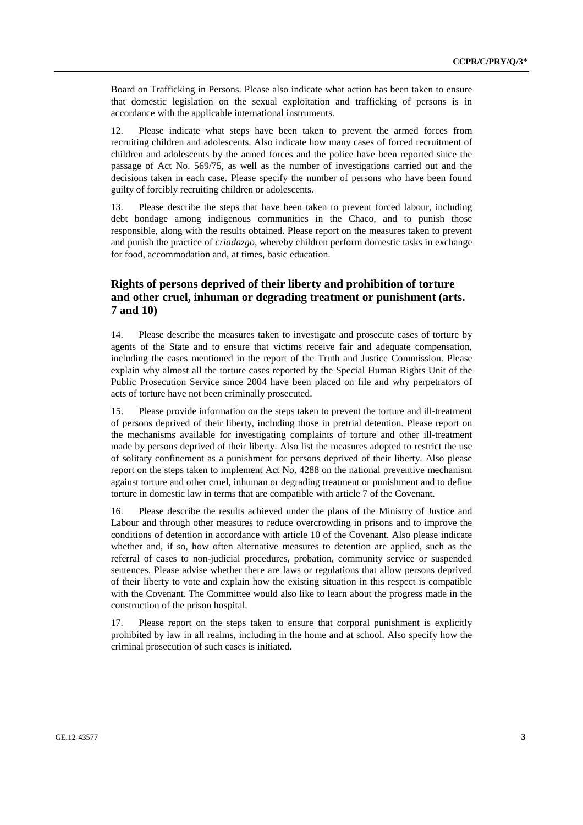Board on Trafficking in Persons. Please also indicate what action has been taken to ensure that domestic legislation on the sexual exploitation and trafficking of persons is in accordance with the applicable international instruments.

12. Please indicate what steps have been taken to prevent the armed forces from recruiting children and adolescents. Also indicate how many cases of forced recruitment of children and adolescents by the armed forces and the police have been reported since the passage of Act No. 569/75, as well as the number of investigations carried out and the decisions taken in each case. Please specify the number of persons who have been found guilty of forcibly recruiting children or adolescents.

13. Please describe the steps that have been taken to prevent forced labour, including debt bondage among indigenous communities in the Chaco, and to punish those responsible, along with the results obtained. Please report on the measures taken to prevent and punish the practice of *criadazgo*, whereby children perform domestic tasks in exchange for food, accommodation and, at times, basic education.

## **Rights of persons deprived of their liberty and prohibition of torture and other cruel, inhuman or degrading treatment or punishment (arts. 7 and 10)**

14. Please describe the measures taken to investigate and prosecute cases of torture by agents of the State and to ensure that victims receive fair and adequate compensation, including the cases mentioned in the report of the Truth and Justice Commission. Please explain why almost all the torture cases reported by the Special Human Rights Unit of the Public Prosecution Service since 2004 have been placed on file and why perpetrators of acts of torture have not been criminally prosecuted.

15. Please provide information on the steps taken to prevent the torture and ill-treatment of persons deprived of their liberty, including those in pretrial detention. Please report on the mechanisms available for investigating complaints of torture and other ill-treatment made by persons deprived of their liberty. Also list the measures adopted to restrict the use of solitary confinement as a punishment for persons deprived of their liberty. Also please report on the steps taken to implement Act No. 4288 on the national preventive mechanism against torture and other cruel, inhuman or degrading treatment or punishment and to define torture in domestic law in terms that are compatible with article 7 of the Covenant.

16. Please describe the results achieved under the plans of the Ministry of Justice and Labour and through other measures to reduce overcrowding in prisons and to improve the conditions of detention in accordance with article 10 of the Covenant. Also please indicate whether and, if so, how often alternative measures to detention are applied, such as the referral of cases to non-judicial procedures, probation, community service or suspended sentences. Please advise whether there are laws or regulations that allow persons deprived of their liberty to vote and explain how the existing situation in this respect is compatible with the Covenant. The Committee would also like to learn about the progress made in the construction of the prison hospital.

17. Please report on the steps taken to ensure that corporal punishment is explicitly prohibited by law in all realms, including in the home and at school. Also specify how the criminal prosecution of such cases is initiated.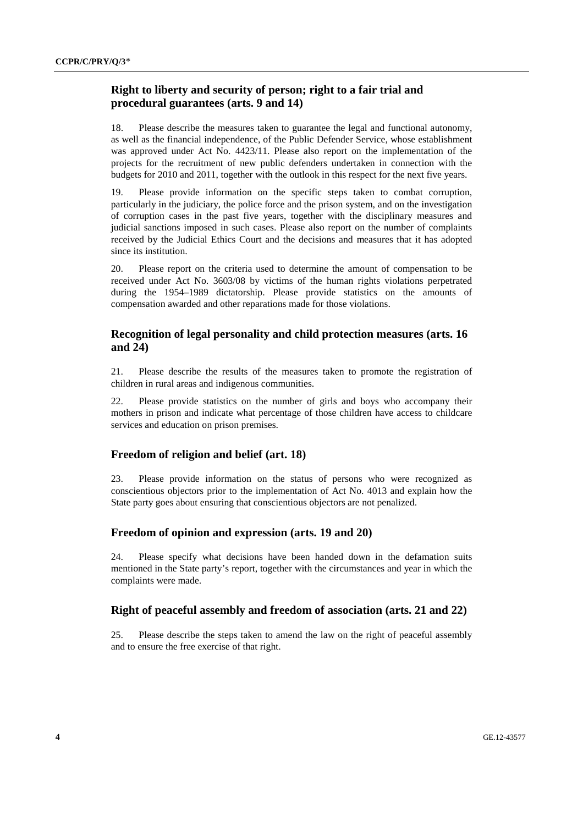#### **Right to liberty and security of person; right to a fair trial and procedural guarantees (arts. 9 and 14)**

18. Please describe the measures taken to guarantee the legal and functional autonomy, as well as the financial independence, of the Public Defender Service, whose establishment was approved under Act No. 4423/11. Please also report on the implementation of the projects for the recruitment of new public defenders undertaken in connection with the budgets for 2010 and 2011, together with the outlook in this respect for the next five years.

19. Please provide information on the specific steps taken to combat corruption, particularly in the judiciary, the police force and the prison system, and on the investigation of corruption cases in the past five years, together with the disciplinary measures and judicial sanctions imposed in such cases. Please also report on the number of complaints received by the Judicial Ethics Court and the decisions and measures that it has adopted since its institution.

20. Please report on the criteria used to determine the amount of compensation to be received under Act No. 3603/08 by victims of the human rights violations perpetrated during the 1954–1989 dictatorship. Please provide statistics on the amounts of compensation awarded and other reparations made for those violations.

#### **Recognition of legal personality and child protection measures (arts. 16 and 24)**

21. Please describe the results of the measures taken to promote the registration of children in rural areas and indigenous communities.

22. Please provide statistics on the number of girls and boys who accompany their mothers in prison and indicate what percentage of those children have access to childcare services and education on prison premises.

## **Freedom of religion and belief (art. 18)**

23. Please provide information on the status of persons who were recognized as conscientious objectors prior to the implementation of Act No. 4013 and explain how the State party goes about ensuring that conscientious objectors are not penalized.

#### **Freedom of opinion and expression (arts. 19 and 20)**

24. Please specify what decisions have been handed down in the defamation suits mentioned in the State party's report, together with the circumstances and year in which the complaints were made.

#### **Right of peaceful assembly and freedom of association (arts. 21 and 22)**

25. Please describe the steps taken to amend the law on the right of peaceful assembly and to ensure the free exercise of that right.